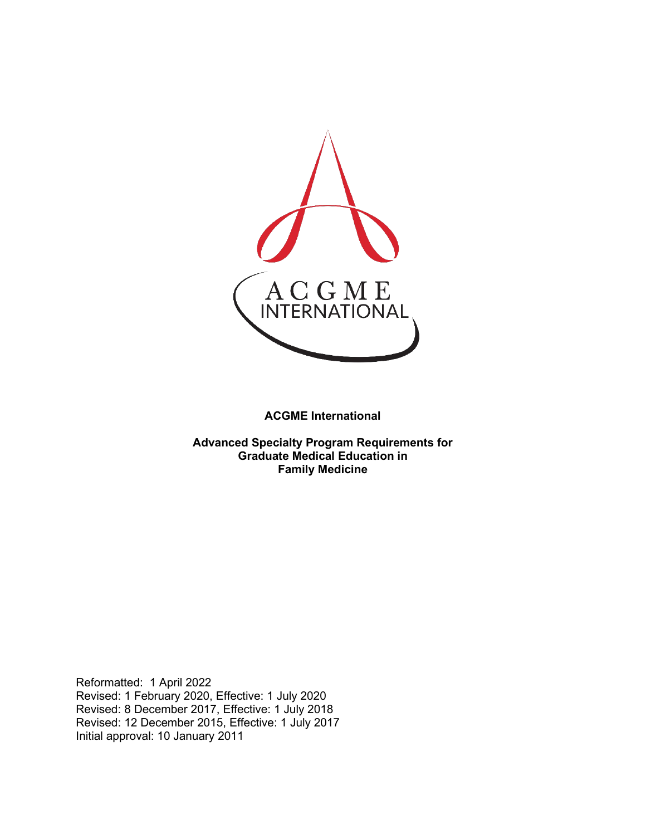

**ACGME International** 

**Advanced Specialty Program Requirements for Graduate Medical Education in Family Medicine**

Reformatted: 1 April 2022 Revised: 1 February 2020, Effective: 1 July 2020 Revised: 8 December 2017, Effective: 1 July 2018 Revised: 12 December 2015, Effective: 1 July 2017 Initial approval: 10 January 2011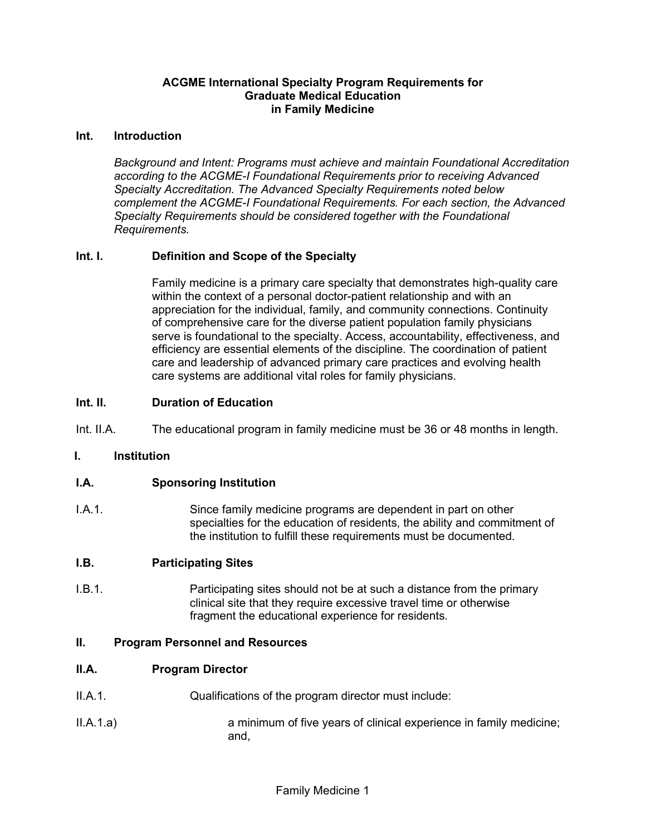## **ACGME International Specialty Program Requirements for Graduate Medical Education in Family Medicine**

#### **Int. Introduction**

*Background and Intent: Programs must achieve and maintain Foundational Accreditation according to the ACGME-I Foundational Requirements prior to receiving Advanced Specialty Accreditation. The Advanced Specialty Requirements noted below complement the ACGME-I Foundational Requirements. For each section, the Advanced Specialty Requirements should be considered together with the Foundational Requirements.*

## **Int. I. Definition and Scope of the Specialty**

Family medicine is a primary care specialty that demonstrates high-quality care within the context of a personal doctor-patient relationship and with an appreciation for the individual, family, and community connections. Continuity of comprehensive care for the diverse patient population family physicians serve is foundational to the specialty. Access, accountability, effectiveness, and efficiency are essential elements of the discipline. The coordination of patient care and leadership of advanced primary care practices and evolving health care systems are additional vital roles for family physicians.

## **Int. II. Duration of Education**

Int. II.A. The educational program in family medicine must be 36 or 48 months in length.

## **I. Institution**

## **I.A. Sponsoring Institution**

I.A.1. Since family medicine programs are dependent in part on other specialties for the education of residents, the ability and commitment of the institution to fulfill these requirements must be documented.

## **I.B. Participating Sites**

I.B.1. **Participating sites should not be at such a distance from the primary** clinical site that they require excessive travel time or otherwise fragment the educational experience for residents.

#### **II. Program Personnel and Resources**

#### **II.A. Program Director**

- II.A.1. Qualifications of the program director must include:
- II.A.1.a) a minimum of five years of clinical experience in family medicine; and,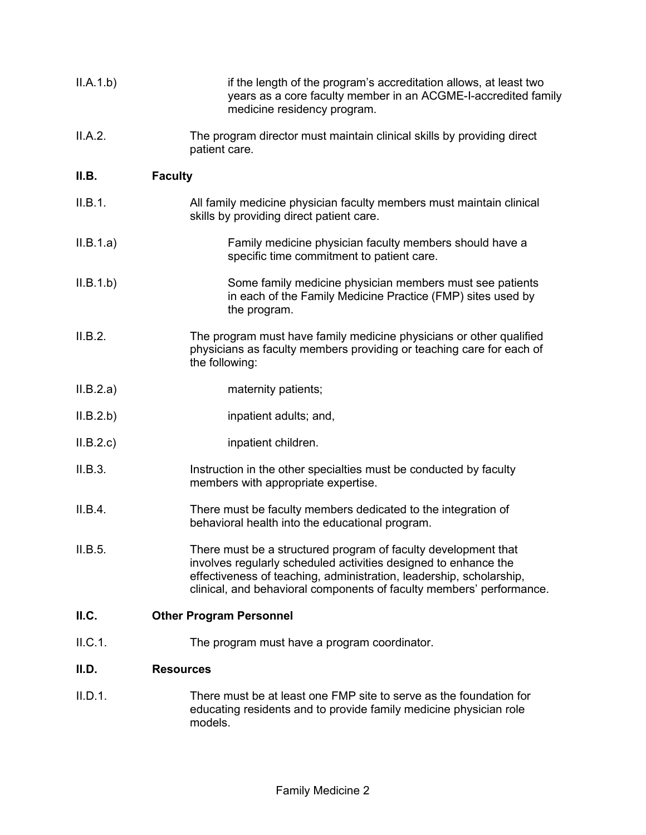| II.A.1.b) | if the length of the program's accreditation allows, at least two<br>years as a core faculty member in an ACGME-I-accredited family<br>medicine residency program.                                                                                                               |
|-----------|----------------------------------------------------------------------------------------------------------------------------------------------------------------------------------------------------------------------------------------------------------------------------------|
| II.A.2.   | The program director must maintain clinical skills by providing direct<br>patient care.                                                                                                                                                                                          |
| II.B.     | <b>Faculty</b>                                                                                                                                                                                                                                                                   |
| II.B.1.   | All family medicine physician faculty members must maintain clinical<br>skills by providing direct patient care.                                                                                                                                                                 |
| II.B.1.a) | Family medicine physician faculty members should have a<br>specific time commitment to patient care.                                                                                                                                                                             |
| II.B.1.b) | Some family medicine physician members must see patients<br>in each of the Family Medicine Practice (FMP) sites used by<br>the program.                                                                                                                                          |
| II.B.2.   | The program must have family medicine physicians or other qualified<br>physicians as faculty members providing or teaching care for each of<br>the following:                                                                                                                    |
| II.B.2.a) | maternity patients;                                                                                                                                                                                                                                                              |
| ILB.2.b)  | inpatient adults; and,                                                                                                                                                                                                                                                           |
| II.B.2.c  | inpatient children.                                                                                                                                                                                                                                                              |
| II.B.3.   | Instruction in the other specialties must be conducted by faculty<br>members with appropriate expertise.                                                                                                                                                                         |
| II.B.4.   | There must be faculty members dedicated to the integration of<br>behavioral health into the educational program.                                                                                                                                                                 |
| II.B.5.   | There must be a structured program of faculty development that<br>involves regularly scheduled activities designed to enhance the<br>effectiveness of teaching, administration, leadership, scholarship,<br>clinical, and behavioral components of faculty members' performance. |
| II.C.     | <b>Other Program Personnel</b>                                                                                                                                                                                                                                                   |
| II.C.1.   | The program must have a program coordinator.                                                                                                                                                                                                                                     |
| II.D.     | <b>Resources</b>                                                                                                                                                                                                                                                                 |
| II.D.1.   | There must be at least one FMP site to serve as the foundation for<br>educating residents and to provide family medicine physician role<br>models.                                                                                                                               |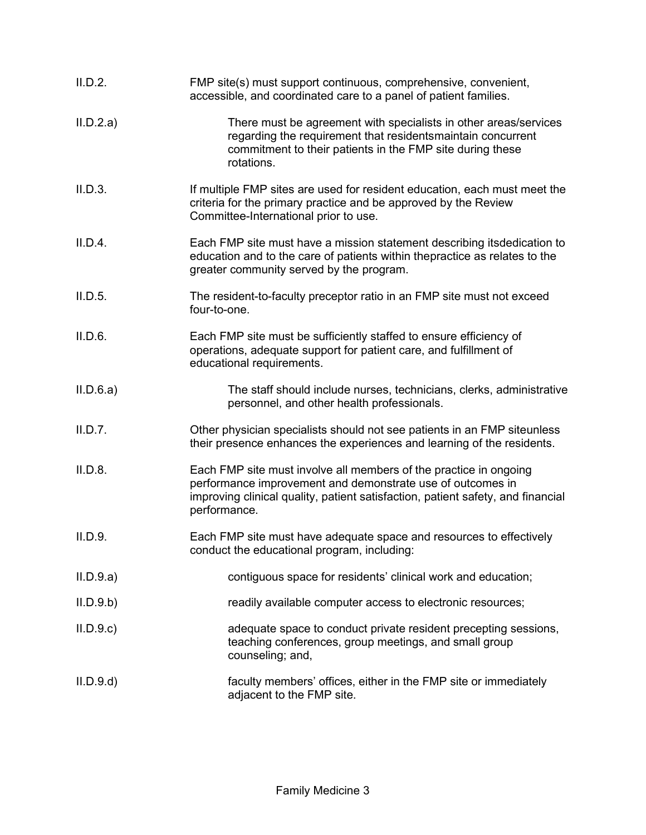| II.D.2.   | FMP site(s) must support continuous, comprehensive, convenient,<br>accessible, and coordinated care to a panel of patient families.                                                                                                |
|-----------|------------------------------------------------------------------------------------------------------------------------------------------------------------------------------------------------------------------------------------|
| II.D.2.a) | There must be agreement with specialists in other areas/services<br>regarding the requirement that residentsmaintain concurrent<br>commitment to their patients in the FMP site during these<br>rotations.                         |
| II.D.3.   | If multiple FMP sites are used for resident education, each must meet the<br>criteria for the primary practice and be approved by the Review<br>Committee-International prior to use.                                              |
| II.D.4.   | Each FMP site must have a mission statement describing itsdedication to<br>education and to the care of patients within thepractice as relates to the<br>greater community served by the program.                                  |
| II.D.5.   | The resident-to-faculty preceptor ratio in an FMP site must not exceed<br>four-to-one.                                                                                                                                             |
| II.D.6.   | Each FMP site must be sufficiently staffed to ensure efficiency of<br>operations, adequate support for patient care, and fulfillment of<br>educational requirements.                                                               |
| II.D.6.a) | The staff should include nurses, technicians, clerks, administrative<br>personnel, and other health professionals.                                                                                                                 |
| II.D.7.   | Other physician specialists should not see patients in an FMP siteunless<br>their presence enhances the experiences and learning of the residents.                                                                                 |
| II.D.8.   | Each FMP site must involve all members of the practice in ongoing<br>performance improvement and demonstrate use of outcomes in<br>improving clinical quality, patient satisfaction, patient safety, and financial<br>performance. |
| II.D.9.   | Each FMP site must have adequate space and resources to effectively<br>conduct the educational program, including:                                                                                                                 |
| II.D.9.a) | contiguous space for residents' clinical work and education;                                                                                                                                                                       |
| II.D.9.b) | readily available computer access to electronic resources;                                                                                                                                                                         |
| II.D.9.c  | adequate space to conduct private resident precepting sessions,<br>teaching conferences, group meetings, and small group<br>counseling; and,                                                                                       |
| II.D.9.d  | faculty members' offices, either in the FMP site or immediately<br>adjacent to the FMP site.                                                                                                                                       |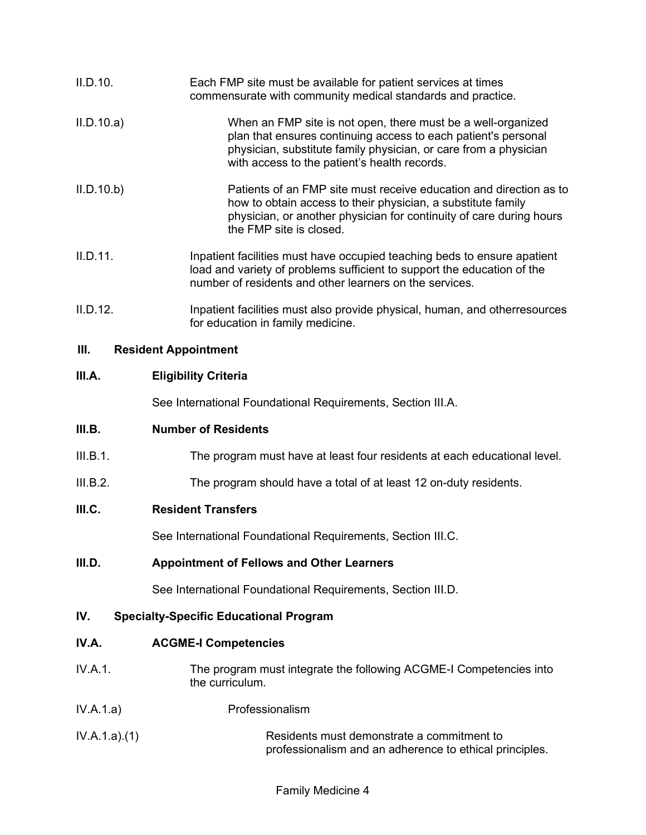| II.D.10.                      | Each FMP site must be available for patient services at times<br>commensurate with community medical standards and practice.                                                                                                                       |
|-------------------------------|----------------------------------------------------------------------------------------------------------------------------------------------------------------------------------------------------------------------------------------------------|
| II.D.10.a)                    | When an FMP site is not open, there must be a well-organized<br>plan that ensures continuing access to each patient's personal<br>physician, substitute family physician, or care from a physician<br>with access to the patient's health records. |
| II.D.10.b)                    | Patients of an FMP site must receive education and direction as to<br>how to obtain access to their physician, a substitute family<br>physician, or another physician for continuity of care during hours<br>the FMP site is closed.               |
| II.D.11.                      | Inpatient facilities must have occupied teaching beds to ensure apatient<br>load and variety of problems sufficient to support the education of the<br>number of residents and other learners on the services.                                     |
| $\mathbf{u} \cdot \mathbf{n}$ | وحموسه والمواجعة والمستحق الممازح والمتحاف والمتحدد والمستحدث والتائية والمتحارب والمستلهم والمستنق                                                                                                                                                |

II.D.12. Inpatient facilities must also provide physical, human, and otherresources for education in family medicine.

# **III. Resident Appointment**

#### **III.A. Eligibility Criteria**

See International Foundational Requirements, Section III.A.

## **III.B. Number of Residents**

- III.B.1. The program must have at least four residents at each educational level.
- III.B.2. The program should have a total of at least 12 on-duty residents.

## **III.C. Resident Transfers**

See International Foundational Requirements, Section III.C.

## **III.D. Appointment of Fellows and Other Learners**

See International Foundational Requirements, Section III.D.

# **IV. Specialty-Specific Educational Program**

#### **IV.A. ACGME-I Competencies**

- IV.A.1. The program must integrate the following ACGME-I Competencies into the curriculum.
- IV.A.1.a) Professionalism
- IV.A.1.a).(1) Residents must demonstrate a commitment to professionalism and an adherence to ethical principles.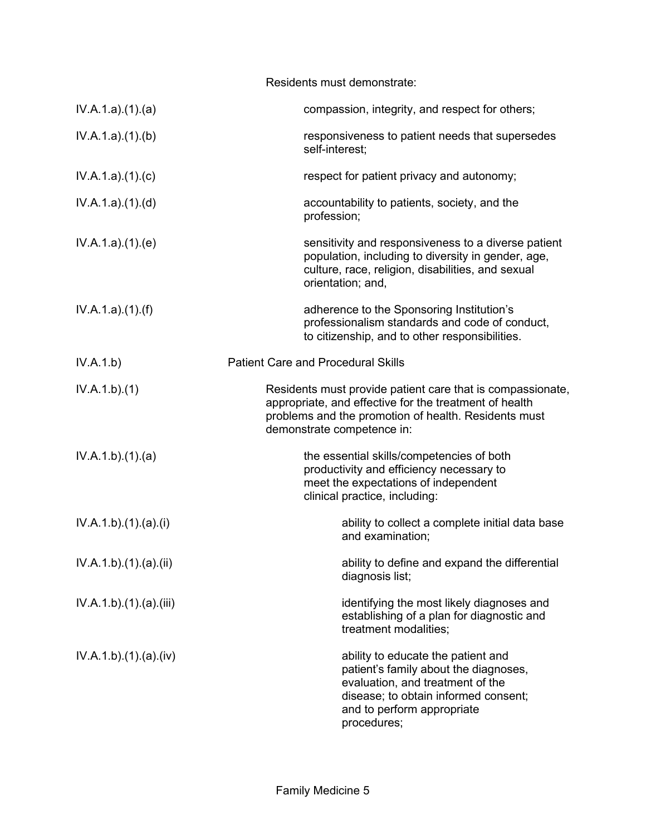|                       | Residents must demonstrate:                                                                                                                                                                                |
|-----------------------|------------------------------------------------------------------------------------------------------------------------------------------------------------------------------------------------------------|
| IV.A.1.a)(1)(a)       | compassion, integrity, and respect for others;                                                                                                                                                             |
| IV.A.1.a)(1)(b)       | responsiveness to patient needs that supersedes<br>self-interest;                                                                                                                                          |
| IV.A.1.a)(1)(c)       | respect for patient privacy and autonomy;                                                                                                                                                                  |
| IV.A.1.a)(1)(d)       | accountability to patients, society, and the<br>profession;                                                                                                                                                |
| IV.A.1.a)(1)(e)       | sensitivity and responsiveness to a diverse patient<br>population, including to diversity in gender, age,<br>culture, race, religion, disabilities, and sexual<br>orientation; and,                        |
| IV.A.1.a)(1)(f)       | adherence to the Sponsoring Institution's<br>professionalism standards and code of conduct,<br>to citizenship, and to other responsibilities.                                                              |
| IV.A.1.b)             | <b>Patient Care and Procedural Skills</b>                                                                                                                                                                  |
| IV.A.1.b)(1)          | Residents must provide patient care that is compassionate,<br>appropriate, and effective for the treatment of health<br>problems and the promotion of health. Residents must<br>demonstrate competence in: |
| IV.A.1.b)(1)(a)       | the essential skills/competencies of both<br>productivity and efficiency necessary to<br>meet the expectations of independent<br>clinical practice, including:                                             |
| IV.A.1.b).(1).(a).(i) | ability to collect a complete initial data base<br>and examination;                                                                                                                                        |
| IV.A.1.b)(1)(a)(ii)   | ability to define and expand the differential<br>diagnosis list;                                                                                                                                           |
| IV.A.1.b)(1)(a)(iii)  | identifying the most likely diagnoses and<br>establishing of a plan for diagnostic and<br>treatment modalities;                                                                                            |
| IV.A.1.b)(1)(a)(iv)   | ability to educate the patient and<br>patient's family about the diagnoses,<br>evaluation, and treatment of the<br>disease; to obtain informed consent;<br>and to perform appropriate<br>procedures;       |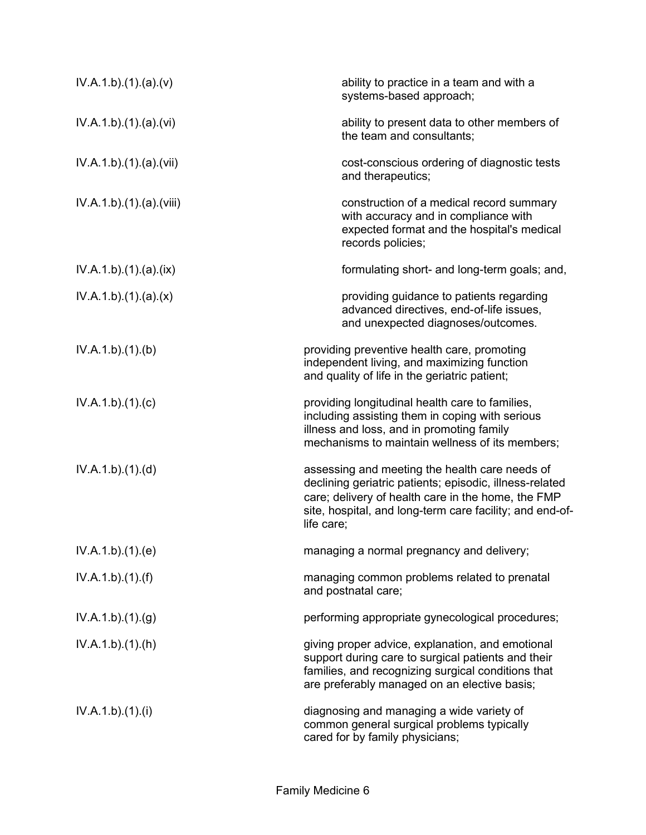| IV.A.1.b)(1)(a)(v)     | ability to practice in a team and with a<br>systems-based approach;                                                                                                                                                                       |
|------------------------|-------------------------------------------------------------------------------------------------------------------------------------------------------------------------------------------------------------------------------------------|
| IV.A.1.b)(1)(a)(vi)    | ability to present data to other members of<br>the team and consultants;                                                                                                                                                                  |
| IV.A.1.b)(1)(a)(vii)   | cost-conscious ordering of diagnostic tests<br>and therapeutics;                                                                                                                                                                          |
| IV.A.1.b)(1)(a)(viii)  | construction of a medical record summary<br>with accuracy and in compliance with<br>expected format and the hospital's medical<br>records policies;                                                                                       |
| IV.A.1.b) (1) (a) (ix) | formulating short- and long-term goals; and,                                                                                                                                                                                              |
| IV.A.1.b)(1)(a)(x)     | providing guidance to patients regarding<br>advanced directives, end-of-life issues,<br>and unexpected diagnoses/outcomes.                                                                                                                |
| IV.A.1.b)(1)(b)        | providing preventive health care, promoting<br>independent living, and maximizing function<br>and quality of life in the geriatric patient;                                                                                               |
| IV.A.1.b)(1)(c)        | providing longitudinal health care to families,<br>including assisting them in coping with serious<br>illness and loss, and in promoting family<br>mechanisms to maintain wellness of its members;                                        |
| IV.A.1.b)(1)(d)        | assessing and meeting the health care needs of<br>declining geriatric patients; episodic, illness-related<br>care; delivery of health care in the home, the FMP<br>site, hospital, and long-term care facility; and end-of-<br>life care; |
| IV.A.1.b)(1)(e)        | managing a normal pregnancy and delivery;                                                                                                                                                                                                 |
| IV.A.1.b)(1)(f)        | managing common problems related to prenatal<br>and postnatal care;                                                                                                                                                                       |
| IV.A.1.b)(1)(g)        | performing appropriate gynecological procedures;                                                                                                                                                                                          |
| IV.A.1.b)(1)(h)        | giving proper advice, explanation, and emotional<br>support during care to surgical patients and their<br>families, and recognizing surgical conditions that<br>are preferably managed on an elective basis;                              |
| IV.A.1.b)(1)(i)        | diagnosing and managing a wide variety of<br>common general surgical problems typically<br>cared for by family physicians;                                                                                                                |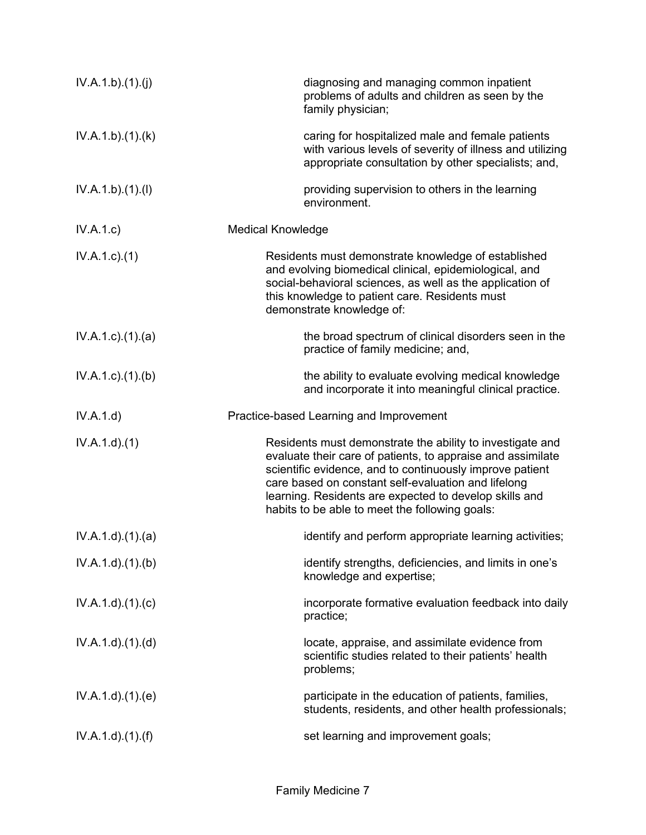| IV.A.1.b)(1)(j)           | diagnosing and managing common inpatient<br>problems of adults and children as seen by the<br>family physician;                                                                                                                                                                                                                                         |
|---------------------------|---------------------------------------------------------------------------------------------------------------------------------------------------------------------------------------------------------------------------------------------------------------------------------------------------------------------------------------------------------|
| IV.A.1.b)(1)(k)           | caring for hospitalized male and female patients<br>with various levels of severity of illness and utilizing<br>appropriate consultation by other specialists; and,                                                                                                                                                                                     |
| IV.A.1.b)(1)(I)           | providing supervision to others in the learning<br>environment.                                                                                                                                                                                                                                                                                         |
| IV.A.1.c)                 | <b>Medical Knowledge</b>                                                                                                                                                                                                                                                                                                                                |
| $IV.A.1.c.$ (1)           | Residents must demonstrate knowledge of established<br>and evolving biomedical clinical, epidemiological, and<br>social-behavioral sciences, as well as the application of<br>this knowledge to patient care. Residents must<br>demonstrate knowledge of:                                                                                               |
| $IV.A.1.c$ . $(1).$ $(a)$ | the broad spectrum of clinical disorders seen in the<br>practice of family medicine; and,                                                                                                                                                                                                                                                               |
| $IV.A.1.c$ . $(1).$ (b)   | the ability to evaluate evolving medical knowledge<br>and incorporate it into meaningful clinical practice.                                                                                                                                                                                                                                             |
|                           |                                                                                                                                                                                                                                                                                                                                                         |
| IV.A.1.d)                 | Practice-based Learning and Improvement                                                                                                                                                                                                                                                                                                                 |
| IV.A.1.d.(1)              | Residents must demonstrate the ability to investigate and<br>evaluate their care of patients, to appraise and assimilate<br>scientific evidence, and to continuously improve patient<br>care based on constant self-evaluation and lifelong<br>learning. Residents are expected to develop skills and<br>habits to be able to meet the following goals: |
| IV.A.1.d)(1)(a)           | identify and perform appropriate learning activities;                                                                                                                                                                                                                                                                                                   |
| IV.A.1.d.(1).(b)          | identify strengths, deficiencies, and limits in one's<br>knowledge and expertise;                                                                                                                                                                                                                                                                       |
| IV.A.1.d)(1)(c)           | incorporate formative evaluation feedback into daily<br>practice;                                                                                                                                                                                                                                                                                       |
| IV.A.1.d)(1)(d)           | locate, appraise, and assimilate evidence from<br>scientific studies related to their patients' health<br>problems;                                                                                                                                                                                                                                     |
| IV.A.1.d)(1)(e)           | participate in the education of patients, families,<br>students, residents, and other health professionals;                                                                                                                                                                                                                                             |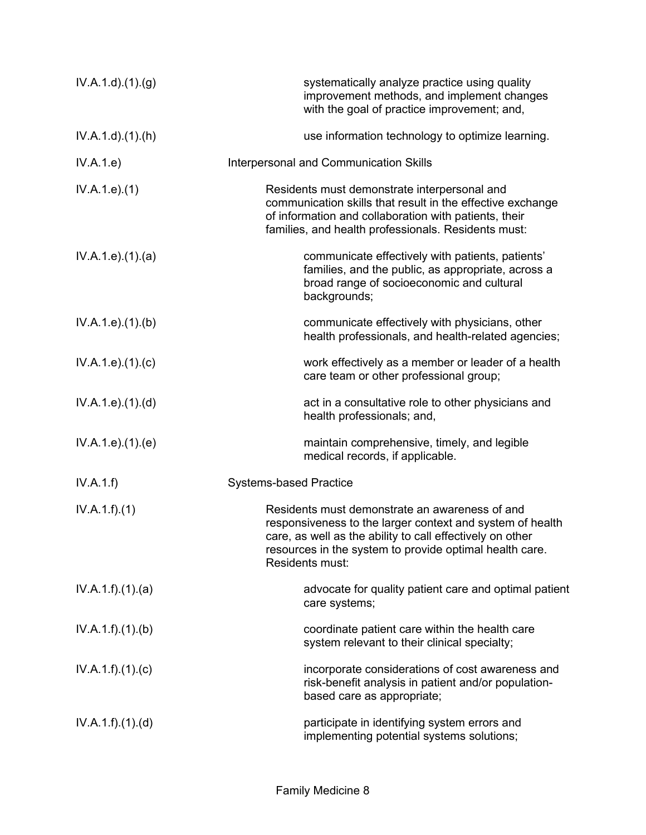| IV.A.1.d.(1). <sub>(g)</sub> | systematically analyze practice using quality<br>improvement methods, and implement changes<br>with the goal of practice improvement; and,                                                                                                             |
|------------------------------|--------------------------------------------------------------------------------------------------------------------------------------------------------------------------------------------------------------------------------------------------------|
| $IV.A.1.d$ . $(1).(h)$       | use information technology to optimize learning.                                                                                                                                                                                                       |
| IV.A.1.e)                    | Interpersonal and Communication Skills                                                                                                                                                                                                                 |
| IV.A.1.e. (1)                | Residents must demonstrate interpersonal and<br>communication skills that result in the effective exchange<br>of information and collaboration with patients, their<br>families, and health professionals. Residents must:                             |
| IV.A.1.e. (1). (a)           | communicate effectively with patients, patients'<br>families, and the public, as appropriate, across a<br>broad range of socioeconomic and cultural<br>backgrounds;                                                                                    |
| IV.A.1.e. (1)(b)             | communicate effectively with physicians, other<br>health professionals, and health-related agencies;                                                                                                                                                   |
| IV.A.1.e. (1)(c)             | work effectively as a member or leader of a health<br>care team or other professional group;                                                                                                                                                           |
| IV.A.1.e. (1). (d)           | act in a consultative role to other physicians and<br>health professionals; and,                                                                                                                                                                       |
| IV.A.1.e. (1). (e)           | maintain comprehensive, timely, and legible<br>medical records, if applicable.                                                                                                                                                                         |
| IV.A.1.f)                    | <b>Systems-based Practice</b>                                                                                                                                                                                                                          |
| IV.A.1.f)(1)                 | Residents must demonstrate an awareness of and<br>responsiveness to the larger context and system of health<br>care, as well as the ability to call effectively on other<br>resources in the system to provide optimal health care.<br>Residents must: |
| IV.A.1.f)(1)(a)              | advocate for quality patient care and optimal patient<br>care systems;                                                                                                                                                                                 |
| IV.A.1.f)(1)(b)              | coordinate patient care within the health care<br>system relevant to their clinical specialty;                                                                                                                                                         |
| IV.A.1.f)(1)(c)              | incorporate considerations of cost awareness and<br>risk-benefit analysis in patient and/or population-<br>based care as appropriate;                                                                                                                  |
| IV.A.1.f)(1)(d)              | participate in identifying system errors and<br>implementing potential systems solutions;                                                                                                                                                              |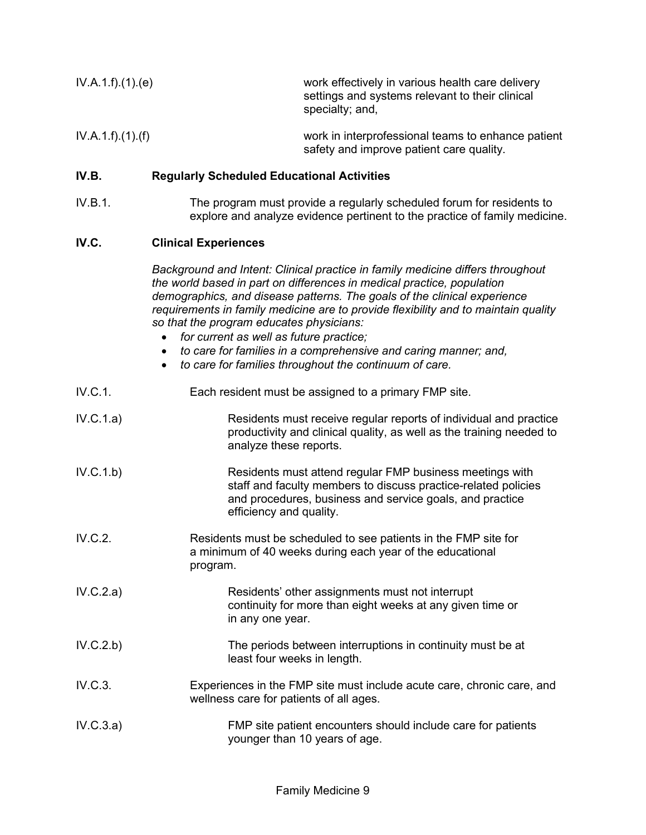| IV.A.1.f).(1).(e) | work effectively in various health care delivery<br>settings and systems relevant to their clinical<br>specialty; and, |
|-------------------|------------------------------------------------------------------------------------------------------------------------|
| IV.A.1.f)(1)(f)   | work in interprofessional teams to enhance patient<br>safety and improve patient care quality.                         |

# **IV.B. Regularly Scheduled Educational Activities**

IV.B.1. The program must provide a regularly scheduled forum for residents to explore and analyze evidence pertinent to the practice of family medicine.

#### **IV.C. Clinical Experiences**

*Background and Intent: Clinical practice in family medicine differs throughout the world based in part on differences in medical practice, population demographics, and disease patterns. The goals of the clinical experience requirements in family medicine are to provide flexibility and to maintain quality so that the program educates physicians:*

- *for current as well as future practice;*
- *to care for families in a comprehensive and caring manner; and,*
- *to care for families throughout the continuum of care.*

| IV.C.1. | Each resident must be assigned to a primary FMP site. |
|---------|-------------------------------------------------------|
|---------|-------------------------------------------------------|

- IV.C.1.a) Residents must receive regular reports of individual and practice productivity and clinical quality, as well as the training needed to analyze these reports.
- IV.C.1.b) Residents must attend regular FMP business meetings with staff and faculty members to discuss practice-related policies and procedures, business and service goals, and practice efficiency and quality.
- IV.C.2. Residents must be scheduled to see patients in the FMP site for a minimum of 40 weeks during each year of the educational program.
- IV.C.2.a) Residents' other assignments must not interrupt continuity for more than eight weeks at any given time or in any one year.
- IV.C.2.b) The periods between interruptions in continuity must be at least four weeks in length.
- IV.C.3. Experiences in the FMP site must include acute care, chronic care, and wellness care for patients of all ages.
- IV.C.3.a) FMP site patient encounters should include care for patients younger than 10 years of age.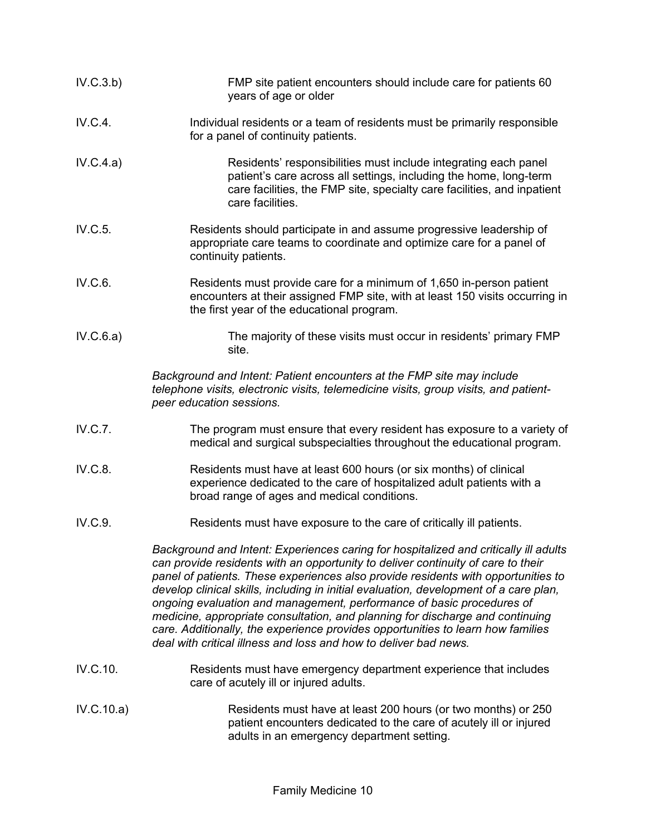| IV.C.3.b)  | FMP site patient encounters should include care for patients 60<br>years of age or older                                                                                                                                                                                                                                                                                                                                                                                                                                                                                                                                                                                |
|------------|-------------------------------------------------------------------------------------------------------------------------------------------------------------------------------------------------------------------------------------------------------------------------------------------------------------------------------------------------------------------------------------------------------------------------------------------------------------------------------------------------------------------------------------------------------------------------------------------------------------------------------------------------------------------------|
| IV.C.4.    | Individual residents or a team of residents must be primarily responsible<br>for a panel of continuity patients.                                                                                                                                                                                                                                                                                                                                                                                                                                                                                                                                                        |
| IV.C.4.a)  | Residents' responsibilities must include integrating each panel<br>patient's care across all settings, including the home, long-term<br>care facilities, the FMP site, specialty care facilities, and inpatient<br>care facilities.                                                                                                                                                                                                                                                                                                                                                                                                                                     |
| IV.C.5.    | Residents should participate in and assume progressive leadership of<br>appropriate care teams to coordinate and optimize care for a panel of<br>continuity patients.                                                                                                                                                                                                                                                                                                                                                                                                                                                                                                   |
| IV.C.6.    | Residents must provide care for a minimum of 1,650 in-person patient<br>encounters at their assigned FMP site, with at least 150 visits occurring in<br>the first year of the educational program.                                                                                                                                                                                                                                                                                                                                                                                                                                                                      |
| IV.C.6.a)  | The majority of these visits must occur in residents' primary FMP<br>site.                                                                                                                                                                                                                                                                                                                                                                                                                                                                                                                                                                                              |
|            | Background and Intent: Patient encounters at the FMP site may include<br>telephone visits, electronic visits, telemedicine visits, group visits, and patient-<br>peer education sessions.                                                                                                                                                                                                                                                                                                                                                                                                                                                                               |
| IV.C.7.    | The program must ensure that every resident has exposure to a variety of<br>medical and surgical subspecialties throughout the educational program.                                                                                                                                                                                                                                                                                                                                                                                                                                                                                                                     |
| IV.C.8.    | Residents must have at least 600 hours (or six months) of clinical<br>experience dedicated to the care of hospitalized adult patients with a<br>broad range of ages and medical conditions.                                                                                                                                                                                                                                                                                                                                                                                                                                                                             |
| IV.C.9.    | Residents must have exposure to the care of critically ill patients.                                                                                                                                                                                                                                                                                                                                                                                                                                                                                                                                                                                                    |
|            | Background and Intent: Experiences caring for hospitalized and critically ill adults<br>can provide residents with an opportunity to deliver continuity of care to their<br>panel of patients. These experiences also provide residents with opportunities to<br>develop clinical skills, including in initial evaluation, development of a care plan,<br>ongoing evaluation and management, performance of basic procedures of<br>medicine, appropriate consultation, and planning for discharge and continuing<br>care. Additionally, the experience provides opportunities to learn how families<br>deal with critical illness and loss and how to deliver bad news. |
| IV.C.10.   | Residents must have emergency department experience that includes<br>care of acutely ill or injured adults.                                                                                                                                                                                                                                                                                                                                                                                                                                                                                                                                                             |
| IV.C.10.a) | Residents must have at least 200 hours (or two months) or 250<br>patient encounters dedicated to the care of acutely ill or injured<br>adults in an emergency department setting.                                                                                                                                                                                                                                                                                                                                                                                                                                                                                       |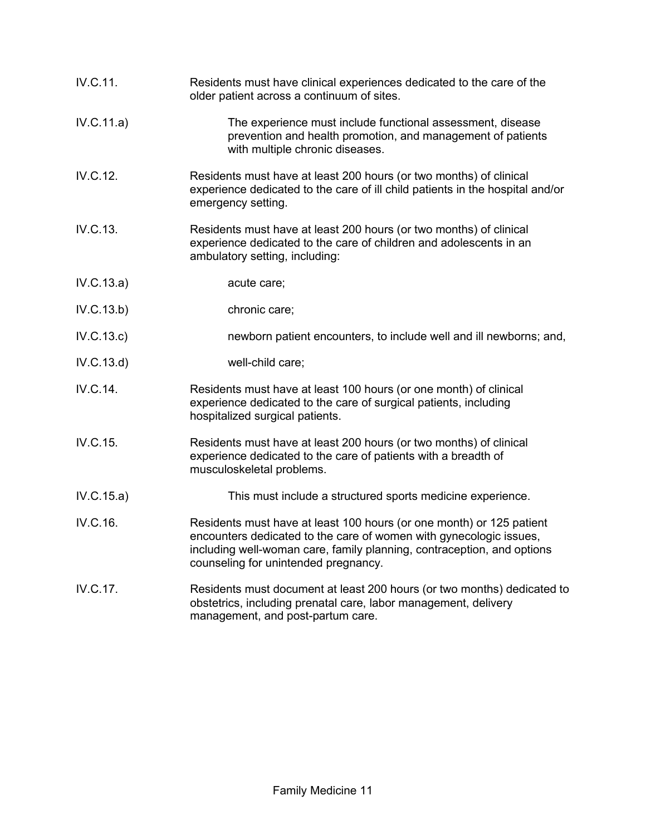| IV.C.11.   | Residents must have clinical experiences dedicated to the care of the<br>older patient across a continuum of sites.                                                                                                                                          |
|------------|--------------------------------------------------------------------------------------------------------------------------------------------------------------------------------------------------------------------------------------------------------------|
| IV.C.11.a) | The experience must include functional assessment, disease<br>prevention and health promotion, and management of patients<br>with multiple chronic diseases.                                                                                                 |
| IV.C.12.   | Residents must have at least 200 hours (or two months) of clinical<br>experience dedicated to the care of ill child patients in the hospital and/or<br>emergency setting.                                                                                    |
| IV.C.13.   | Residents must have at least 200 hours (or two months) of clinical<br>experience dedicated to the care of children and adolescents in an<br>ambulatory setting, including:                                                                                   |
| IV.C.13.a) | acute care;                                                                                                                                                                                                                                                  |
| IV.C.13.b) | chronic care;                                                                                                                                                                                                                                                |
| IV.C.13.c) | newborn patient encounters, to include well and ill newborns; and,                                                                                                                                                                                           |
| IV.C.13.d) | well-child care;                                                                                                                                                                                                                                             |
| IV.C.14.   | Residents must have at least 100 hours (or one month) of clinical<br>experience dedicated to the care of surgical patients, including<br>hospitalized surgical patients.                                                                                     |
| IV.C.15.   | Residents must have at least 200 hours (or two months) of clinical<br>experience dedicated to the care of patients with a breadth of<br>musculoskeletal problems.                                                                                            |
| IV.C.15.a) | This must include a structured sports medicine experience.                                                                                                                                                                                                   |
| IV.C.16.   | Residents must have at least 100 hours (or one month) or 125 patient<br>encounters dedicated to the care of women with gynecologic issues,<br>including well-woman care, family planning, contraception, and options<br>counseling for unintended pregnancy. |
| IV.C.17.   | Residents must document at least 200 hours (or two months) dedicated to<br>obstetrics, including prenatal care, labor management, delivery<br>management, and post-partum care.                                                                              |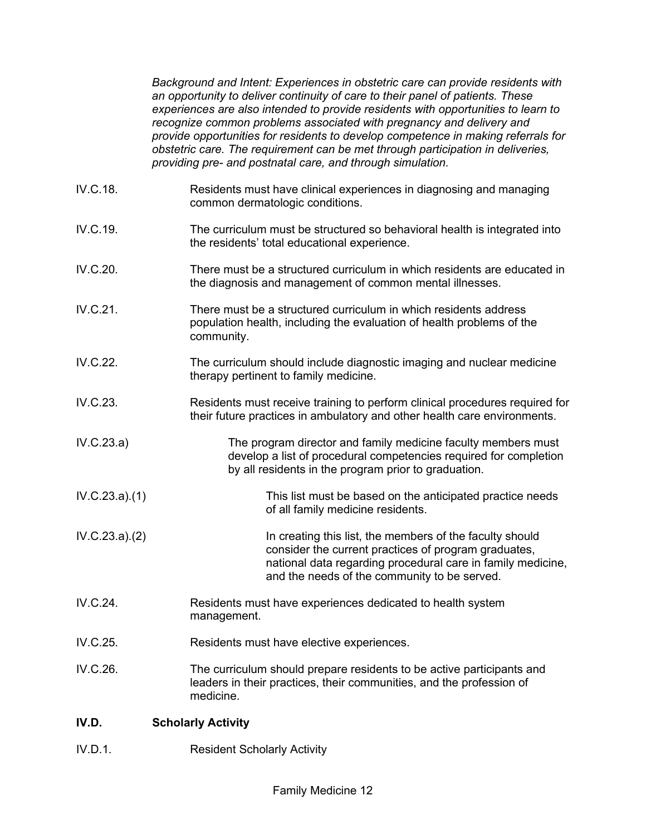*Background and Intent: Experiences in obstetric care can provide residents with an opportunity to deliver continuity of care to their panel of patients. These experiences are also intended to provide residents with opportunities to learn to recognize common problems associated with pregnancy and delivery and provide opportunities for residents to develop competence in making referrals for obstetric care. The requirement can be met through participation in deliveries, providing pre- and postnatal care, and through simulation.*

IV.C.18. Residents must have clinical experiences in diagnosing and managing common dermatologic conditions. IV.C.19. The curriculum must be structured so behavioral health is integrated into the residents' total educational experience. IV.C.20. There must be a structured curriculum in which residents are educated in the diagnosis and management of common mental illnesses. IV.C.21. There must be a structured curriculum in which residents address population health, including the evaluation of health problems of the community. IV.C.22. The curriculum should include diagnostic imaging and nuclear medicine therapy pertinent to family medicine. IV.C.23. Residents must receive training to perform clinical procedures required for their future practices in ambulatory and other health care environments. IV.C.23.a) The program director and family medicine faculty members must develop a list of procedural competencies required for completion by all residents in the program prior to graduation. IV.C.23.a).(1) This list must be based on the anticipated practice needs of all family medicine residents. IV.C.23.a).(2) In creating this list, the members of the faculty should consider the current practices of program graduates, national data regarding procedural care in family medicine, and the needs of the community to be served. IV.C.24. Residents must have experiences dedicated to health system management. IV.C.25. Residents must have elective experiences. IV.C.26. The curriculum should prepare residents to be active participants and leaders in their practices, their communities, and the profession of medicine.

## **IV.D. Scholarly Activity**

IV.D.1. Resident Scholarly Activity